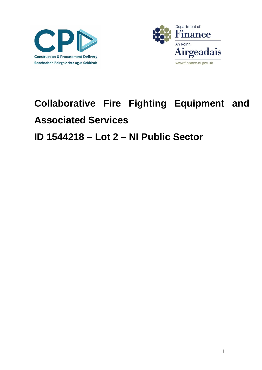



## **Collaborative Fire Fighting Equipment and Associated Services** ID 1544218 - Lot 2 - NI Public Sector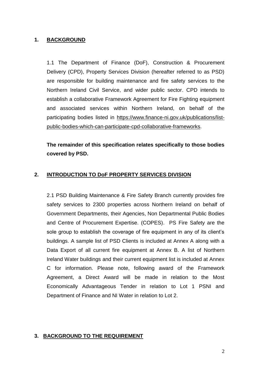## **1. BACKGROUND**

1.1 The Department of Finance (DoF), Construction & Procurement Delivery (CPD), Property Services Division (hereafter referred to as PSD) are responsible for building maintenance and fire safety services to the Northern Ireland Civil Service, and wider public sector. CPD intends to establish a collaborative Framework Agreement for Fire Fighting equipment and associated services within Northern Ireland, on behalf of the participating bodies listed in [https://www.finance-ni.gov.uk/publications/list](https://www.finance-ni.gov.uk/publications/list-public-bodies-which-can-participate-cpd-collaborative-frameworks)[public-bodies-which-can-participate-cpd-collaborative-frameworks.](https://www.finance-ni.gov.uk/publications/list-public-bodies-which-can-participate-cpd-collaborative-frameworks)

**The remainder of this specification relates specifically to those bodies covered by PSD.**

## **2. INTRODUCTION TO DoF PROPERTY SERVICES DIVISION**

2.1 PSD Building Maintenance & Fire Safety Branch currently provides fire safety services to 2300 properties across Northern Ireland on behalf of Government Departments, their Agencies, Non Departmental Public Bodies and Centre of Procurement Expertise. (COPES). PS Fire Safety are the sole group to establish the coverage of fire equipment in any of its client's buildings. A sample list of PSD Clients is included at Annex A along with a Data Export of all current fire equipment at Annex B. A list of Northern Ireland Water buildings and their current equipment list is included at Annex C for information. Please note, following award of the Framework Agreement, a Direct Award will be made in relation to the Most Economically Advantageous Tender in relation to Lot 1 PSNI and Department of Finance and NI Water in relation to Lot 2.

## **3. BACKGROUND TO THE REQUIREMENT**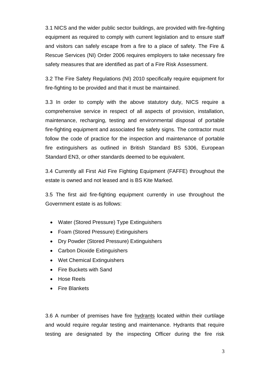3.1 NICS and the wider public sector buildings, are provided with fire-fighting equipment as required to comply with current legislation and to ensure staff and visitors can safely escape from a fire to a place of safety. The Fire & Rescue Services (NI) Order 2006 requires employers to take necessary fire safety measures that are identified as part of a Fire Risk Assessment.

3.2 The Fire Safety Regulations (NI) 2010 specifically require equipment for fire-fighting to be provided and that it must be maintained.

3.3 In order to comply with the above statutory duty, NICS require a comprehensive service in respect of all aspects of provision, installation, maintenance, recharging, testing and environmental disposal of portable fire-fighting equipment and associated fire safety signs. The contractor must follow the code of practice for the inspection and maintenance of portable fire extinguishers as outlined in British Standard BS 5306, European Standard EN3, or other standards deemed to be equivalent.

3.4 Currently all First Aid Fire Fighting Equipment (FAFFE) throughout the estate is owned and not leased and is BS Kite Marked.

3.5 The first aid fire-fighting equipment currently in use throughout the Government estate is as follows:

- Water (Stored Pressure) Type Extinguishers
- Foam (Stored Pressure) Extinguishers
- Dry Powder (Stored Pressure) Extinguishers
- Carbon Dioxide Extinguishers
- Wet Chemical Extinguishers
- Fire Buckets with Sand
- Hose Reels
- Fire Blankets

3.6 A number of premises have fire hydrants located within their curtilage and would require regular testing and maintenance. Hydrants that require testing are designated by the inspecting Officer during the fire risk